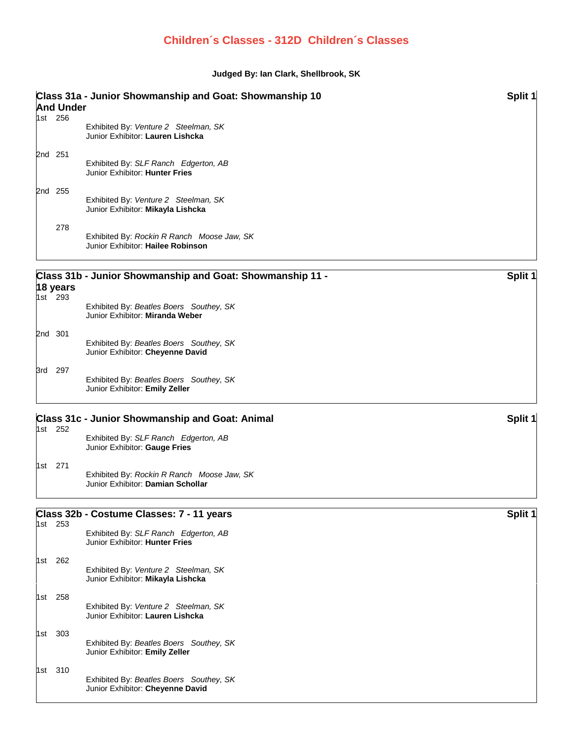## **Children´s Classes - 312D Children´s Classes**

## **Judged By: Ian Clark, Shellbrook, SK**

| Class 31a - Junior Showmanship and Goat: Showmanship 10<br>Split 1<br><b>And Under</b> |                     |                                                                                 |         |  |  |
|----------------------------------------------------------------------------------------|---------------------|---------------------------------------------------------------------------------|---------|--|--|
|                                                                                        | 1st 256             | Exhibited By: Venture 2 Steelman, SK<br>Junior Exhibitor: Lauren Lishcka        |         |  |  |
|                                                                                        | 2nd 251             | Exhibited By: SLF Ranch Edgerton, AB<br>Junior Exhibitor: Hunter Fries          |         |  |  |
|                                                                                        | 2nd 255             | Exhibited By: Venture 2 Steelman, SK<br>Junior Exhibitor: Mikayla Lishcka       |         |  |  |
|                                                                                        | 278                 | Exhibited By: Rockin R Ranch Moose Jaw, SK<br>Junior Exhibitor: Hailee Robinson |         |  |  |
|                                                                                        | 18 years<br>1st 293 | Class 31b - Junior Showmanship and Goat: Showmanship 11 -                       | Split 1 |  |  |
|                                                                                        |                     | Exhibited By: Beatles Boers Southey, SK<br>Junior Exhibitor: Miranda Weber      |         |  |  |
|                                                                                        | 2nd 301             | Exhibited By: Beatles Boers Southey, SK<br>Junior Exhibitor: Cheyenne David     |         |  |  |
|                                                                                        | 3rd 297             | Exhibited By: Beatles Boers Southey, SK<br>Junior Exhibitor: Emily Zeller       |         |  |  |
|                                                                                        | 1st 252             | <b>Class 31c - Junior Showmanship and Goat: Animal</b>                          | Split 1 |  |  |
|                                                                                        |                     | Exhibited By: SLF Ranch Edgerton, AB<br>Junior Exhibitor: Gauge Fries           |         |  |  |
|                                                                                        | 1st 271             | Exhibited By: Rockin R Ranch Moose Jaw, SK<br>Junior Exhibitor: Damian Schollar |         |  |  |
|                                                                                        | 1st 253             | Class 32b - Costume Classes: 7 - 11 years                                       | Split 1 |  |  |
|                                                                                        |                     | Exhibited By: SLF Ranch Edgerton, AB<br>Junior Exhibitor: Hunter Fries          |         |  |  |
|                                                                                        | 1st 262             | Exhibited By: Venture 2 Steelman, SK<br>Junior Exhibitor: Mikayla Lishcka       |         |  |  |
|                                                                                        | 1st 258             | Exhibited By: Venture 2 Steelman, SK<br>Junior Exhibitor: Lauren Lishcka        |         |  |  |
| 1st                                                                                    | 303                 | Exhibited By: Beatles Boers Southey, SK<br>Junior Exhibitor: Emily Zeller       |         |  |  |
|                                                                                        | 1st 310             | Exhibited By: Beatles Boers Southey, SK<br>Junior Exhibitor: Cheyenne David     |         |  |  |